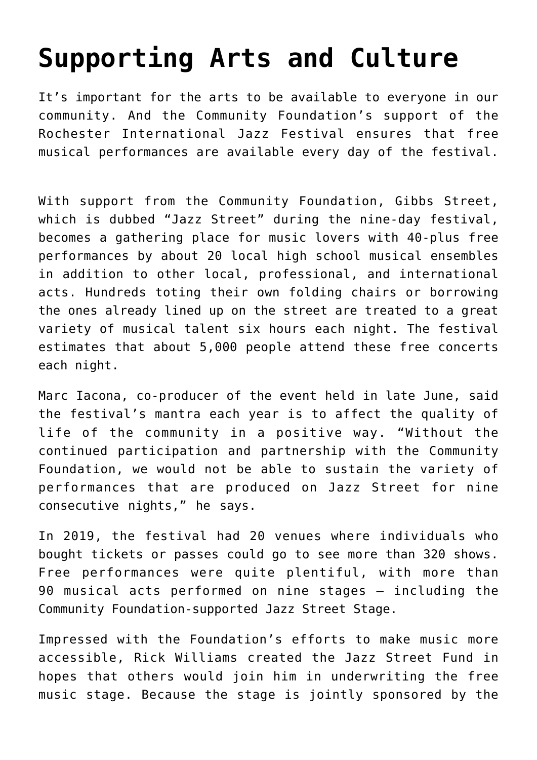## **[Supporting Arts and Culture](https://www.racf.org/grants/grants-in-action/supporting-arts-and-culture/)**

It's important for the arts to be available to everyone in our community. And the Community Foundation's support of the Rochester International Jazz Festival ensures that free musical performances are available every day of the festival.

With support from the Community Foundation, Gibbs Street, which is dubbed "Jazz Street" during the nine-day festival, becomes a gathering place for music lovers with 40-plus free performances by about 20 local high school musical ensembles in addition to other local, professional, and international acts. Hundreds toting their own folding chairs or borrowing the ones already lined up on the street are treated to a great variety of musical talent six hours each night. The festival estimates that about 5,000 people attend these free concerts each night.

Marc Iacona, co-producer of the event held in late June, said the festival's mantra each year is to affect the quality of life of the community in a positive way. "Without the continued participation and partnership with the Community Foundation, we would not be able to sustain the variety of performances that are produced on Jazz Street for nine consecutive nights," he says.

In 2019, the festival had 20 venues where individuals who bought tickets or passes could go to see more than 320 shows. Free performances were quite plentiful, with more than 90 musical acts performed on nine stages — including the Community Foundation-supported Jazz Street Stage.

Impressed with the Foundation's efforts to make music more accessible, Rick Williams created the Jazz Street Fund in hopes that others would join him in underwriting the free music stage. Because the stage is jointly sponsored by the